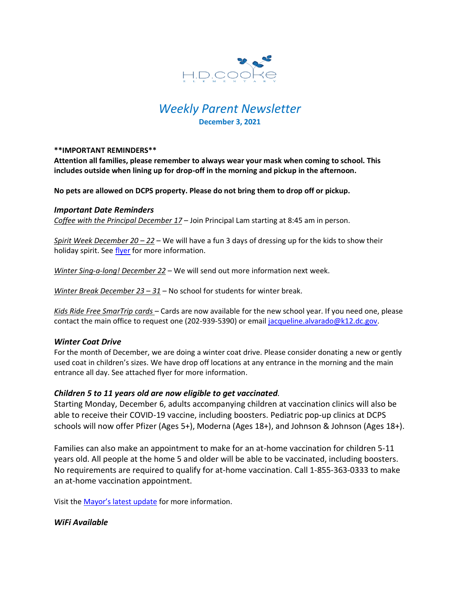

# *Weekly Parent Newsletter* **December 3, 2021**

## **\*\*IMPORTANT REMINDERS\*\***

**Attention all families, please remember to always wear your mask when coming to school. This includes outside when lining up for drop-off in the morning and pickup in the afternoon.** 

**No pets are allowed on DCPS property. Please do not bring them to drop off or pickup.** 

#### *Important Date Reminders*

*Coffee with the Principal December 17* – Join Principal Lam starting at 8:45 am in person.

*Spirit Week December 20 – 22* – We will have a fun 3 days of dressing up for the kids to show their holiday spirit. See [flyer](https://www.hdcookeschool.org/_files/ugd/4a32f2_5dd8d5b20e6a4bb88f8861bf56c753f1.pdf) for more information.

*Winter Sing-a-long! December 22* – We will send out more information next week.

*Winter Break December 23 – 31* – No school for students for winter break.

*Kids Ride Free SmarTrip cards* – Cards are now available for the new school year. If you need one, please contact the main office to request one (202-939-5390) or email [jacqueline.alvarado@k12.dc.gov.](mailto:jacqueline.alvarado@k12.dc.gov)

## *Winter Coat Drive*

For the month of December, we are doing a winter coat drive. Please consider donating a new or gently used coat in children's sizes. We have drop off locations at any entrance in the morning and the main entrance all day. See attached flyer for more information.

## *Children 5 to 11 years old are now eligible to get vaccinated.*

Starting Monday, December 6, adults accompanying children at vaccination clinics will also be able to receive their COVID-19 vaccine, including boosters. Pediatric pop-up clinics at DCPS schools will now offer Pfizer (Ages 5+), Moderna (Ages 18+), and Johnson & Johnson (Ages 18+).

Families can also make an appointment to make for an at-home vaccination for children 5-11 years old. All people at the home 5 and older will be able to be vaccinated, including boosters. No requirements are required to qualify for at-home vaccination. Call 1-855-363-0333 to make an at-home vaccination appointment.

Visit the [Mayor's latest update](https://mayor.dc.gov/sites/default/files/dc/sites/coronavirus/page_content/attachments/Situational-Update-Presentation_12-02-21.pdf) for more information.

## *WiFi Available*